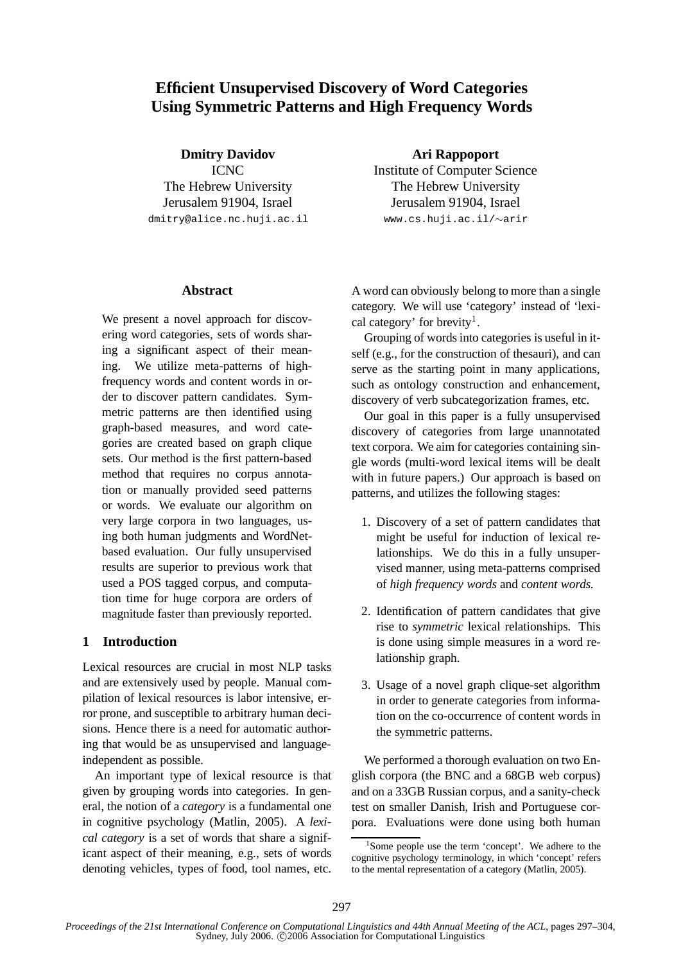# **Efficient Unsupervised Discovery of Word Categories Using Symmetric Patterns and High Frequency Words**

**Dmitry Davidov** ICNC The Hebrew University Jerusalem 91904, Israel dmitry@alice.nc.huji.ac.il

**Ari Rappoport** Institute of Computer Science The Hebrew University Jerusalem 91904, Israel www.cs.huji.ac.il/∼arir

### **Abstract**

We present a novel approach for discovering word categories, sets of words sharing a significant aspect of their meaning. We utilize meta-patterns of highfrequency words and content words in order to discover pattern candidates. Symmetric patterns are then identified using graph-based measures, and word categories are created based on graph clique sets. Our method is the first pattern-based method that requires no corpus annotation or manually provided seed patterns or words. We evaluate our algorithm on very large corpora in two languages, using both human judgments and WordNetbased evaluation. Our fully unsupervised results are superior to previous work that used a POS tagged corpus, and computation time for huge corpora are orders of magnitude faster than previously reported.

# **1 Introduction**

Lexical resources are crucial in most NLP tasks and are extensively used by people. Manual compilation of lexical resources is labor intensive, error prone, and susceptible to arbitrary human decisions. Hence there is a need for automatic authoring that would be as unsupervised and languageindependent as possible.

An important type of lexical resource is that given by grouping words into categories. In general, the notion of a *category* is a fundamental one in cognitive psychology (Matlin, 2005). A *lexical category* is a set of words that share a significant aspect of their meaning, e.g., sets of words denoting vehicles, types of food, tool names, etc.

A word can obviously belong to more than a single category. We will use 'category' instead of 'lexical category' for brevity<sup>1</sup>.

Grouping of words into categories is useful in itself (e.g., for the construction of thesauri), and can serve as the starting point in many applications, such as ontology construction and enhancement, discovery of verb subcategorization frames, etc.

Our goal in this paper is a fully unsupervised discovery of categories from large unannotated text corpora. We aim for categories containing single words (multi-word lexical items will be dealt with in future papers.) Our approach is based on patterns, and utilizes the following stages:

- 1. Discovery of a set of pattern candidates that might be useful for induction of lexical relationships. We do this in a fully unsupervised manner, using meta-patterns comprised of *high frequency words* and *content words.*
- 2. Identification of pattern candidates that give rise to *symmetric* lexical relationships. This is done using simple measures in a word relationship graph.
- 3. Usage of a novel graph clique-set algorithm in order to generate categories from information on the co-occurrence of content words in the symmetric patterns.

We performed a thorough evaluation on two English corpora (the BNC and a 68GB web corpus) and on a 33GB Russian corpus, and a sanity-check test on smaller Danish, Irish and Portuguese corpora. Evaluations were done using both human

<sup>1</sup> Some people use the term 'concept'. We adhere to the cognitive psychology terminology, in which 'concept' refers to the mental representation of a category (Matlin, 2005).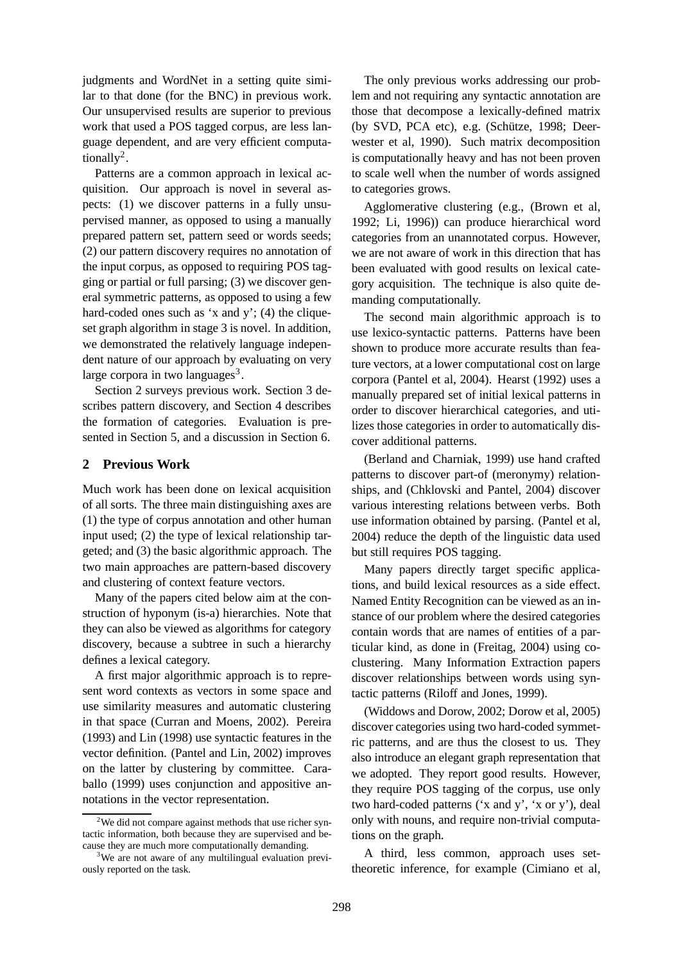judgments and WordNet in a setting quite similar to that done (for the BNC) in previous work. Our unsupervised results are superior to previous work that used a POS tagged corpus, are less language dependent, and are very efficient computationally<sup>2</sup>.

Patterns are a common approach in lexical acquisition. Our approach is novel in several aspects: (1) we discover patterns in a fully unsupervised manner, as opposed to using a manually prepared pattern set, pattern seed or words seeds; (2) our pattern discovery requires no annotation of the input corpus, as opposed to requiring POS tagging or partial or full parsing; (3) we discover general symmetric patterns, as opposed to using a few hard-coded ones such as 'x and y'; (4) the cliqueset graph algorithm in stage 3 is novel. In addition, we demonstrated the relatively language independent nature of our approach by evaluating on very large corpora in two languages<sup>3</sup>.

Section 2 surveys previous work. Section 3 describes pattern discovery, and Section 4 describes the formation of categories. Evaluation is presented in Section 5, and a discussion in Section 6.

## **2 Previous Work**

Much work has been done on lexical acquisition of all sorts. The three main distinguishing axes are (1) the type of corpus annotation and other human input used; (2) the type of lexical relationship targeted; and (3) the basic algorithmic approach. The two main approaches are pattern-based discovery and clustering of context feature vectors.

Many of the papers cited below aim at the construction of hyponym (is-a) hierarchies. Note that they can also be viewed as algorithms for category discovery, because a subtree in such a hierarchy defines a lexical category.

A first major algorithmic approach is to represent word contexts as vectors in some space and use similarity measures and automatic clustering in that space (Curran and Moens, 2002). Pereira (1993) and Lin (1998) use syntactic features in the vector definition. (Pantel and Lin, 2002) improves on the latter by clustering by committee. Caraballo (1999) uses conjunction and appositive annotations in the vector representation.

The only previous works addressing our problem and not requiring any syntactic annotation are those that decompose a lexically-defined matrix (by SVD, PCA etc), e.g. (Schütze,  $1998$ ; Deerwester et al, 1990). Such matrix decomposition is computationally heavy and has not been proven to scale well when the number of words assigned to categories grows.

Agglomerative clustering (e.g., (Brown et al, 1992; Li, 1996)) can produce hierarchical word categories from an unannotated corpus. However, we are not aware of work in this direction that has been evaluated with good results on lexical category acquisition. The technique is also quite demanding computationally.

The second main algorithmic approach is to use lexico-syntactic patterns. Patterns have been shown to produce more accurate results than feature vectors, at a lower computational cost on large corpora (Pantel et al, 2004). Hearst (1992) uses a manually prepared set of initial lexical patterns in order to discover hierarchical categories, and utilizes those categories in order to automatically discover additional patterns.

(Berland and Charniak, 1999) use hand crafted patterns to discover part-of (meronymy) relationships, and (Chklovski and Pantel, 2004) discover various interesting relations between verbs. Both use information obtained by parsing. (Pantel et al, 2004) reduce the depth of the linguistic data used but still requires POS tagging.

Many papers directly target specific applications, and build lexical resources as a side effect. Named Entity Recognition can be viewed as an instance of our problem where the desired categories contain words that are names of entities of a particular kind, as done in (Freitag, 2004) using coclustering. Many Information Extraction papers discover relationships between words using syntactic patterns (Riloff and Jones, 1999).

(Widdows and Dorow, 2002; Dorow et al, 2005) discover categories using two hard-coded symmetric patterns, and are thus the closest to us. They also introduce an elegant graph representation that we adopted. They report good results. However, they require POS tagging of the corpus, use only two hard-coded patterns ('x and y', 'x or y'), deal only with nouns, and require non-trivial computations on the graph.

A third, less common, approach uses settheoretic inference, for example (Cimiano et al,

<sup>&</sup>lt;sup>2</sup>We did not compare against methods that use richer syntactic information, both because they are supervised and because they are much more computationally demanding.

<sup>&</sup>lt;sup>3</sup>We are not aware of any multilingual evaluation previously reported on the task.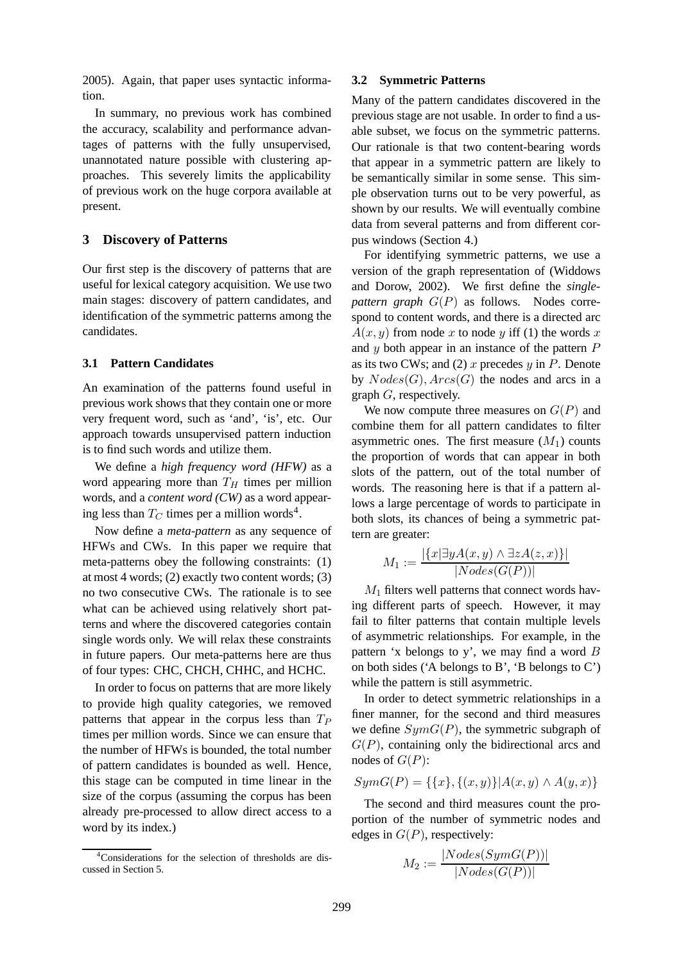2005). Again, that paper uses syntactic information.

In summary, no previous work has combined the accuracy, scalability and performance advantages of patterns with the fully unsupervised, unannotated nature possible with clustering approaches. This severely limits the applicability of previous work on the huge corpora available at present.

## **3 Discovery of Patterns**

Our first step is the discovery of patterns that are useful for lexical category acquisition. We use two main stages: discovery of pattern candidates, and identification of the symmetric patterns among the candidates.

#### **3.1 Pattern Candidates**

An examination of the patterns found useful in previous work shows that they contain one or more very frequent word, such as 'and', 'is', etc. Our approach towards unsupervised pattern induction is to find such words and utilize them.

We define a *high frequency word (HFW)* as a word appearing more than  $T_H$  times per million words, and a *content word (CW)* as a word appearing less than  $T_C$  times per a million words<sup>4</sup>.

Now define a *meta-pattern* as any sequence of HFWs and CWs. In this paper we require that meta-patterns obey the following constraints: (1) at most 4 words; (2) exactly two content words; (3) no two consecutive CWs. The rationale is to see what can be achieved using relatively short patterns and where the discovered categories contain single words only. We will relax these constraints in future papers. Our meta-patterns here are thus of four types: CHC, CHCH, CHHC, and HCHC.

In order to focus on patterns that are more likely to provide high quality categories, we removed patterns that appear in the corpus less than  $T_P$ times per million words. Since we can ensure that the number of HFWs is bounded, the total number of pattern candidates is bounded as well. Hence, this stage can be computed in time linear in the size of the corpus (assuming the corpus has been already pre-processed to allow direct access to a word by its index.)

#### **3.2 Symmetric Patterns**

Many of the pattern candidates discovered in the previous stage are not usable. In order to find a usable subset, we focus on the symmetric patterns. Our rationale is that two content-bearing words that appear in a symmetric pattern are likely to be semantically similar in some sense. This simple observation turns out to be very powerful, as shown by our results. We will eventually combine data from several patterns and from different corpus windows (Section 4.)

For identifying symmetric patterns, we use a version of the graph representation of (Widdows and Dorow, 2002). We first define the *singlepattern graph* G(P) as follows. Nodes correspond to content words, and there is a directed arc  $A(x, y)$  from node x to node y iff (1) the words x and  $y$  both appear in an instance of the pattern  $P$ as its two CWs; and (2) x precedes  $y$  in  $P$ . Denote by  $Nodes(G), Arcs(G)$  the nodes and arcs in a graph G, respectively.

We now compute three measures on  $G(P)$  and combine them for all pattern candidates to filter asymmetric ones. The first measure  $(M_1)$  counts the proportion of words that can appear in both slots of the pattern, out of the total number of words. The reasoning here is that if a pattern allows a large percentage of words to participate in both slots, its chances of being a symmetric pattern are greater:

$$
M_1 := \frac{|\{x \mid \exists y A(x, y) \land \exists z A(z, x)\}|}{|Nodes(G(P))|}
$$

 $M_1$  filters well patterns that connect words having different parts of speech. However, it may fail to filter patterns that contain multiple levels of asymmetric relationships. For example, in the pattern 'x belongs to y', we may find a word  $B$ on both sides ('A belongs to B', 'B belongs to C') while the pattern is still asymmetric.

In order to detect symmetric relationships in a finer manner, for the second and third measures we define  $SymG(P)$ , the symmetric subgraph of  $G(P)$ , containing only the bidirectional arcs and nodes of  $G(P)$ :

$$
SymG(P) = \{\{x\}, \{(x, y)\} | A(x, y) \land A(y, x)\}\
$$

The second and third measures count the proportion of the number of symmetric nodes and edges in  $G(P)$ , respectively:

$$
M_2 := \frac{|Nodes(SymG(P))|}{|Nodes(G(P))|}
$$

<sup>&</sup>lt;sup>4</sup>Considerations for the selection of thresholds are discussed in Section 5.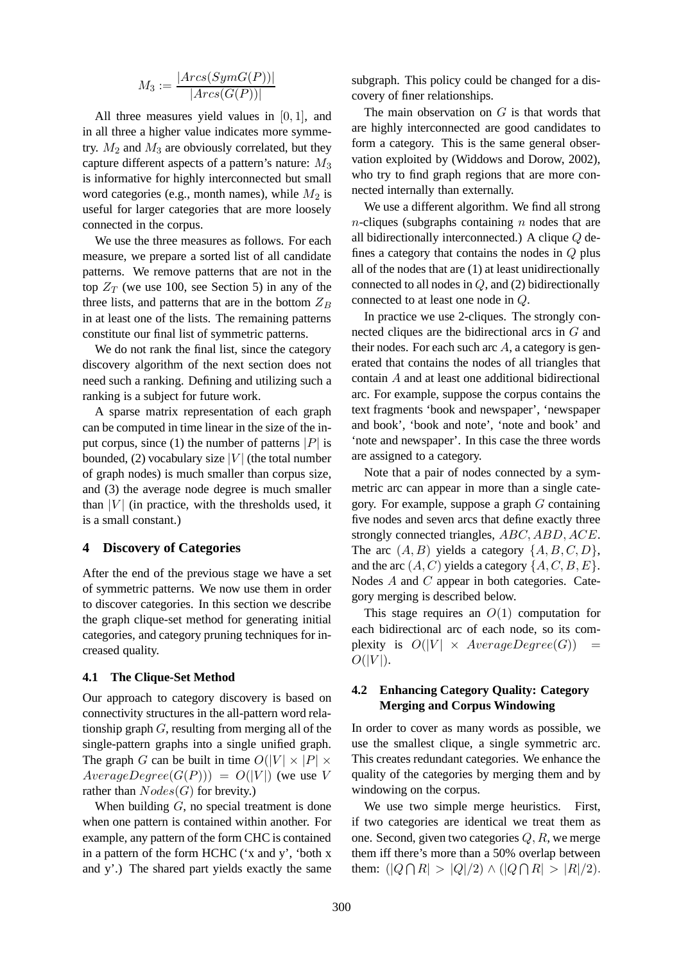$$
M_3 := \frac{|Arcs(SymG(P))|}{|Arcs(G(P))|}
$$

All three measures yield values in  $[0, 1]$ , and in all three a higher value indicates more symmetry.  $M_2$  and  $M_3$  are obviously correlated, but they capture different aspects of a pattern's nature:  $M_3$ is informative for highly interconnected but small word categories (e.g., month names), while  $M_2$  is useful for larger categories that are more loosely connected in the corpus.

We use the three measures as follows. For each measure, we prepare a sorted list of all candidate patterns. We remove patterns that are not in the top  $Z_T$  (we use 100, see Section 5) in any of the three lists, and patterns that are in the bottom  $Z_B$ in at least one of the lists. The remaining patterns constitute our final list of symmetric patterns.

We do not rank the final list, since the category discovery algorithm of the next section does not need such a ranking. Defining and utilizing such a ranking is a subject for future work.

A sparse matrix representation of each graph can be computed in time linear in the size of the input corpus, since (1) the number of patterns |P| is bounded, (2) vocabulary size  $|V|$  (the total number of graph nodes) is much smaller than corpus size, and (3) the average node degree is much smaller than  $|V|$  (in practice, with the thresholds used, it is a small constant.)

### **4 Discovery of Categories**

After the end of the previous stage we have a set of symmetric patterns. We now use them in order to discover categories. In this section we describe the graph clique-set method for generating initial categories, and category pruning techniques for increased quality.

#### **4.1 The Clique-Set Method**

Our approach to category discovery is based on connectivity structures in the all-pattern word relationship graph  $G$ , resulting from merging all of the single-pattern graphs into a single unified graph. The graph G can be built in time  $O(|V| \times |P| \times$  $AverageDegree(G(P))) = O(|V|)$  (we use V rather than  $Nodes(G)$  for brevity.)

When building  $G$ , no special treatment is done when one pattern is contained within another. For example, any pattern of the form CHC is contained in a pattern of the form HCHC ('x and y', 'both x and y'.) The shared part yields exactly the same

subgraph. This policy could be changed for a discovery of finer relationships.

The main observation on  $G$  is that words that are highly interconnected are good candidates to form a category. This is the same general observation exploited by (Widdows and Dorow, 2002), who try to find graph regions that are more connected internally than externally.

We use a different algorithm. We find all strong  $n$ -cliques (subgraphs containing  $n$  nodes that are all bidirectionally interconnected.) A clique Q defines a category that contains the nodes in  $Q$  plus all of the nodes that are (1) at least unidirectionally connected to all nodes in  $Q$ , and  $(2)$  bidirectionally connected to at least one node in Q.

In practice we use 2-cliques. The strongly connected cliques are the bidirectional arcs in G and their nodes. For each such arc  $A$ , a category is generated that contains the nodes of all triangles that contain A and at least one additional bidirectional arc. For example, suppose the corpus contains the text fragments 'book and newspaper', 'newspaper and book', 'book and note', 'note and book' and 'note and newspaper'. In this case the three words are assigned to a category.

Note that a pair of nodes connected by a symmetric arc can appear in more than a single category. For example, suppose a graph G containing five nodes and seven arcs that define exactly three strongly connected triangles, ABC, ABD, ACE. The arc  $(A, B)$  yields a category  $\{A, B, C, D\}$ , and the arc  $(A, C)$  yields a category  $\{A, C, B, E\}.$ Nodes A and C appear in both categories. Category merging is described below.

This stage requires an  $O(1)$  computation for each bidirectional arc of each node, so its complexity is  $O(|V| \times AverageDegree(G))$  =  $O(|V|)$ .

## **4.2 Enhancing Category Quality: Category Merging and Corpus Windowing**

In order to cover as many words as possible, we use the smallest clique, a single symmetric arc. This creates redundant categories. We enhance the quality of the categories by merging them and by windowing on the corpus.

We use two simple merge heuristics. First, if two categories are identical we treat them as one. Second, given two categories  $Q, R$ , we merge them iff there's more than a 50% overlap between them:  $(|Q \cap R| > |Q|/2) \wedge (|Q \cap R| > |R|/2)$ .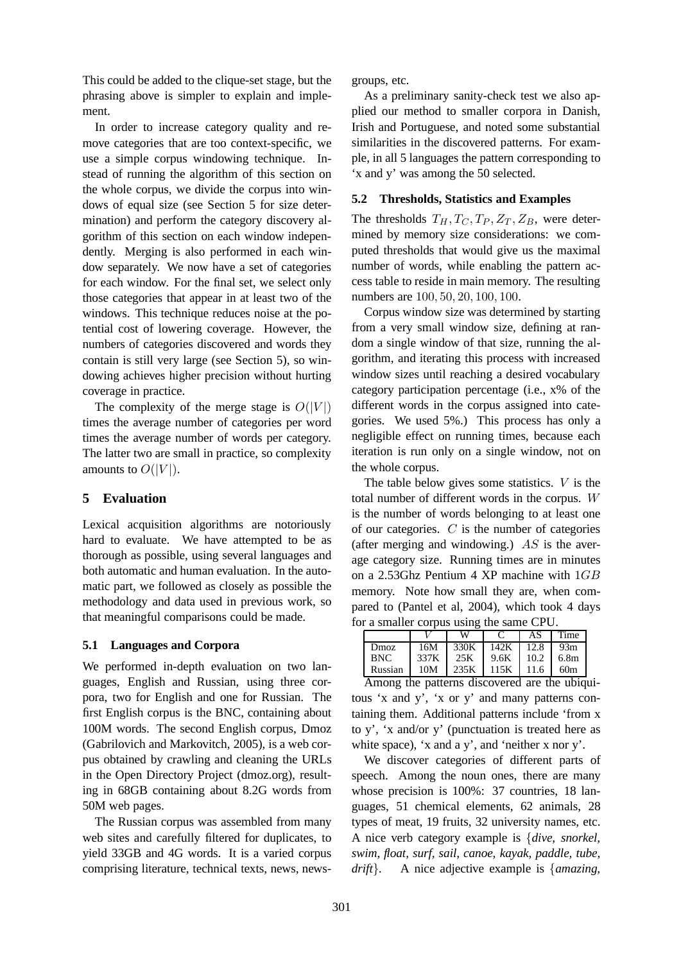This could be added to the clique-set stage, but the phrasing above is simpler to explain and implement.

In order to increase category quality and remove categories that are too context-specific, we use a simple corpus windowing technique. Instead of running the algorithm of this section on the whole corpus, we divide the corpus into windows of equal size (see Section 5 for size determination) and perform the category discovery algorithm of this section on each window independently. Merging is also performed in each window separately. We now have a set of categories for each window. For the final set, we select only those categories that appear in at least two of the windows. This technique reduces noise at the potential cost of lowering coverage. However, the numbers of categories discovered and words they contain is still very large (see Section 5), so windowing achieves higher precision without hurting coverage in practice.

The complexity of the merge stage is  $O(|V|)$ times the average number of categories per word times the average number of words per category. The latter two are small in practice, so complexity amounts to  $O(|V|)$ .

# **5 Evaluation**

Lexical acquisition algorithms are notoriously hard to evaluate. We have attempted to be as thorough as possible, using several languages and both automatic and human evaluation. In the automatic part, we followed as closely as possible the methodology and data used in previous work, so that meaningful comparisons could be made.

# **5.1 Languages and Corpora**

We performed in-depth evaluation on two languages, English and Russian, using three corpora, two for English and one for Russian. The first English corpus is the BNC, containing about 100M words. The second English corpus, Dmoz (Gabrilovich and Markovitch, 2005), is a web corpus obtained by crawling and cleaning the URLs in the Open Directory Project (dmoz.org), resulting in 68GB containing about 8.2G words from 50M web pages.

The Russian corpus was assembled from many web sites and carefully filtered for duplicates, to yield 33GB and 4G words. It is a varied corpus comprising literature, technical texts, news, newsgroups, etc.

As a preliminary sanity-check test we also applied our method to smaller corpora in Danish, Irish and Portuguese, and noted some substantial similarities in the discovered patterns. For example, in all 5 languages the pattern corresponding to 'x and y' was among the 50 selected.

## **5.2 Thresholds, Statistics and Examples**

The thresholds  $T_H, T_C, T_P, Z_T, Z_B$ , were determined by memory size considerations: we computed thresholds that would give us the maximal number of words, while enabling the pattern access table to reside in main memory. The resulting numbers are 100, 50, 20, 100, 100.

Corpus window size was determined by starting from a very small window size, defining at random a single window of that size, running the algorithm, and iterating this process with increased window sizes until reaching a desired vocabulary category participation percentage (i.e., x% of the different words in the corpus assigned into categories. We used 5%.) This process has only a negligible effect on running times, because each iteration is run only on a single window, not on the whole corpus.

The table below gives some statistics.  $V$  is the total number of different words in the corpus. W is the number of words belonging to at least one of our categories.  $C$  is the number of categories (after merging and windowing.)  $AS$  is the average category size. Running times are in minutes on a 2.53Ghz Pentium 4 XP machine with 1GB memory. Note how small they are, when compared to (Pantel et al, 2004), which took 4 days for a smaller corpus using the same CPU.

|            |      | w    |      | AS   | Time             |
|------------|------|------|------|------|------------------|
| Dmoz       | 16M  | 330K | 142K | 12.8 | 93m              |
| <b>BNC</b> | 337K | 25K  | 9.6K | 10.2 | 6.8 <sub>m</sub> |
| Russian    | 10M  | 235K | 115K | 11.6 | 60m              |

Among the patterns discovered are the ubiquitous 'x and y', 'x or y' and many patterns containing them. Additional patterns include 'from x to y', 'x and/or y' (punctuation is treated here as white space), 'x and a y', and 'neither x nor y'.

We discover categories of different parts of speech. Among the noun ones, there are many whose precision is 100%: 37 countries, 18 languages, 51 chemical elements, 62 animals, 28 types of meat, 19 fruits, 32 university names, etc. A nice verb category example is {*dive, snorkel, swim, float, surf, sail, canoe, kayak, paddle, tube, drift*}*.* A nice adjective example is {*amazing,*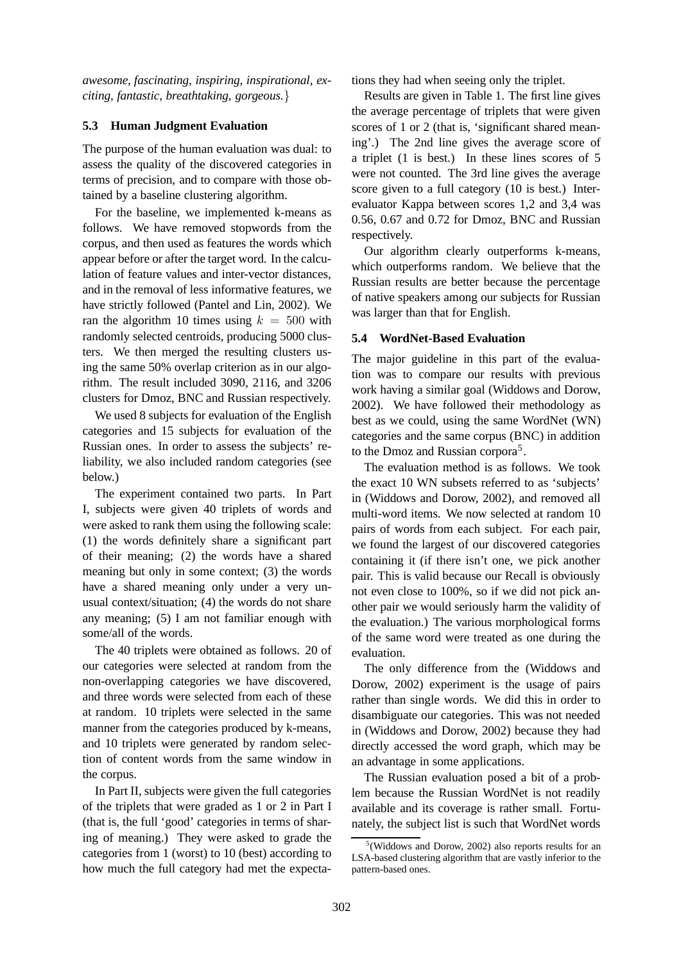*awesome, fascinating, inspiring, inspirational, exciting, fantastic, breathtaking, gorgeous.*}

### **5.3 Human Judgment Evaluation**

The purpose of the human evaluation was dual: to assess the quality of the discovered categories in terms of precision, and to compare with those obtained by a baseline clustering algorithm.

For the baseline, we implemented k-means as follows. We have removed stopwords from the corpus, and then used as features the words which appear before or after the target word. In the calculation of feature values and inter-vector distances, and in the removal of less informative features, we have strictly followed (Pantel and Lin, 2002). We ran the algorithm 10 times using  $k = 500$  with randomly selected centroids, producing 5000 clusters. We then merged the resulting clusters using the same 50% overlap criterion as in our algorithm. The result included 3090, 2116, and 3206 clusters for Dmoz, BNC and Russian respectively.

We used 8 subjects for evaluation of the English categories and 15 subjects for evaluation of the Russian ones. In order to assess the subjects' reliability, we also included random categories (see below.)

The experiment contained two parts. In Part I, subjects were given 40 triplets of words and were asked to rank them using the following scale: (1) the words definitely share a significant part of their meaning; (2) the words have a shared meaning but only in some context; (3) the words have a shared meaning only under a very unusual context/situation; (4) the words do not share any meaning; (5) I am not familiar enough with some/all of the words.

The 40 triplets were obtained as follows. 20 of our categories were selected at random from the non-overlapping categories we have discovered, and three words were selected from each of these at random. 10 triplets were selected in the same manner from the categories produced by k-means, and 10 triplets were generated by random selection of content words from the same window in the corpus.

In Part II, subjects were given the full categories of the triplets that were graded as 1 or 2 in Part I (that is, the full 'good' categories in terms of sharing of meaning.) They were asked to grade the categories from 1 (worst) to 10 (best) according to how much the full category had met the expectations they had when seeing only the triplet.

Results are given in Table 1. The first line gives the average percentage of triplets that were given scores of 1 or 2 (that is, 'significant shared meaning'.) The 2nd line gives the average score of a triplet (1 is best.) In these lines scores of 5 were not counted. The 3rd line gives the average score given to a full category (10 is best.) Interevaluator Kappa between scores 1,2 and 3,4 was 0.56, 0.67 and 0.72 for Dmoz, BNC and Russian respectively.

Our algorithm clearly outperforms k-means, which outperforms random. We believe that the Russian results are better because the percentage of native speakers among our subjects for Russian was larger than that for English.

## **5.4 WordNet-Based Evaluation**

The major guideline in this part of the evaluation was to compare our results with previous work having a similar goal (Widdows and Dorow, 2002). We have followed their methodology as best as we could, using the same WordNet (WN) categories and the same corpus (BNC) in addition to the Dmoz and Russian corpora<sup>5</sup>.

The evaluation method is as follows. We took the exact 10 WN subsets referred to as 'subjects' in (Widdows and Dorow, 2002), and removed all multi-word items. We now selected at random 10 pairs of words from each subject. For each pair, we found the largest of our discovered categories containing it (if there isn't one, we pick another pair. This is valid because our Recall is obviously not even close to 100%, so if we did not pick another pair we would seriously harm the validity of the evaluation.) The various morphological forms of the same word were treated as one during the evaluation.

The only difference from the (Widdows and Dorow, 2002) experiment is the usage of pairs rather than single words. We did this in order to disambiguate our categories. This was not needed in (Widdows and Dorow, 2002) because they had directly accessed the word graph, which may be an advantage in some applications.

The Russian evaluation posed a bit of a problem because the Russian WordNet is not readily available and its coverage is rather small. Fortunately, the subject list is such that WordNet words

<sup>5</sup> (Widdows and Dorow, 2002) also reports results for an LSA-based clustering algorithm that are vastly inferior to the pattern-based ones.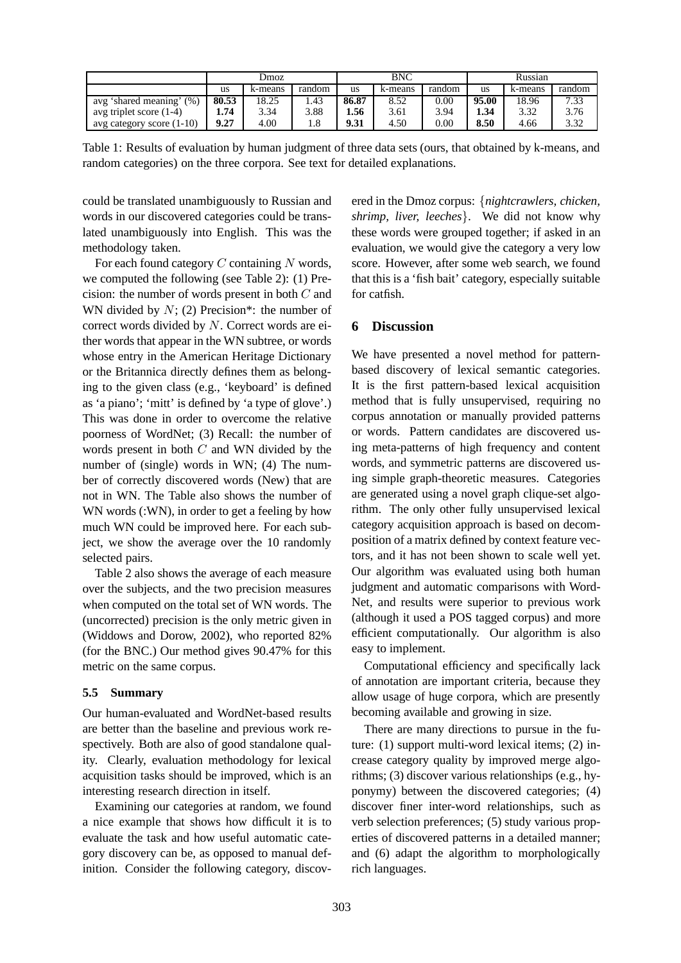|                              | Dmoz  |         | <b>BNC</b> |       |         | Russian  |       |         |        |
|------------------------------|-------|---------|------------|-------|---------|----------|-------|---------|--------|
|                              | us    | k-means | random     | us    | k-means | random   | us    | k-means | random |
| (% )<br>avg 'shared meaning' | 80.53 | 18.25   | .43        | 86.87 | 8.52    | $0.00\,$ | 95.00 | 18.96   | 7.33   |
| avg triplet score $(1-4)$    | 1.74  | 3.34    | 3.88       | 1.56  | 3.61    | 3.94     | 1.34  | 3.32    | 3.76   |
| avg category score (1-10)    | 9.27  | 4.00    |            | 9.31  | 4.50    | $0.00\,$ | 8.50  | 4.66    | 3.32   |

Table 1: Results of evaluation by human judgment of three data sets (ours, that obtained by k-means, and random categories) on the three corpora. See text for detailed explanations.

could be translated unambiguously to Russian and words in our discovered categories could be translated unambiguously into English. This was the methodology taken.

For each found category  $C$  containing  $N$  words, we computed the following (see Table 2): (1) Precision: the number of words present in both C and WN divided by  $N$ ; (2) Precision\*: the number of correct words divided by N. Correct words are either words that appear in the WN subtree, or words whose entry in the American Heritage Dictionary or the Britannica directly defines them as belonging to the given class (e.g., 'keyboard' is defined as 'a piano'; 'mitt' is defined by 'a type of glove'.) This was done in order to overcome the relative poorness of WordNet; (3) Recall: the number of words present in both C and WN divided by the number of (single) words in WN; (4) The number of correctly discovered words (New) that are not in WN. The Table also shows the number of WN words (:WN), in order to get a feeling by how much WN could be improved here. For each subject, we show the average over the 10 randomly selected pairs.

Table 2 also shows the average of each measure over the subjects, and the two precision measures when computed on the total set of WN words. The (uncorrected) precision is the only metric given in (Widdows and Dorow, 2002), who reported 82% (for the BNC.) Our method gives 90.47% for this metric on the same corpus.

#### **5.5 Summary**

Our human-evaluated and WordNet-based results are better than the baseline and previous work respectively. Both are also of good standalone quality. Clearly, evaluation methodology for lexical acquisition tasks should be improved, which is an interesting research direction in itself.

Examining our categories at random, we found a nice example that shows how difficult it is to evaluate the task and how useful automatic category discovery can be, as opposed to manual definition. Consider the following category, discovered in the Dmoz corpus: {*nightcrawlers, chicken, shrimp, liver, leeches*}. We did not know why these words were grouped together; if asked in an evaluation, we would give the category a very low score. However, after some web search, we found that this is a 'fish bait' category, especially suitable for catfish.

# **6 Discussion**

We have presented a novel method for patternbased discovery of lexical semantic categories. It is the first pattern-based lexical acquisition method that is fully unsupervised, requiring no corpus annotation or manually provided patterns or words. Pattern candidates are discovered using meta-patterns of high frequency and content words, and symmetric patterns are discovered using simple graph-theoretic measures. Categories are generated using a novel graph clique-set algorithm. The only other fully unsupervised lexical category acquisition approach is based on decomposition of a matrix defined by context feature vectors, and it has not been shown to scale well yet. Our algorithm was evaluated using both human judgment and automatic comparisons with Word-Net, and results were superior to previous work (although it used a POS tagged corpus) and more efficient computationally. Our algorithm is also easy to implement.

Computational efficiency and specifically lack of annotation are important criteria, because they allow usage of huge corpora, which are presently becoming available and growing in size.

There are many directions to pursue in the future: (1) support multi-word lexical items; (2) increase category quality by improved merge algorithms; (3) discover various relationships (e.g., hyponymy) between the discovered categories; (4) discover finer inter-word relationships, such as verb selection preferences; (5) study various properties of discovered patterns in a detailed manner; and (6) adapt the algorithm to morphologically rich languages.